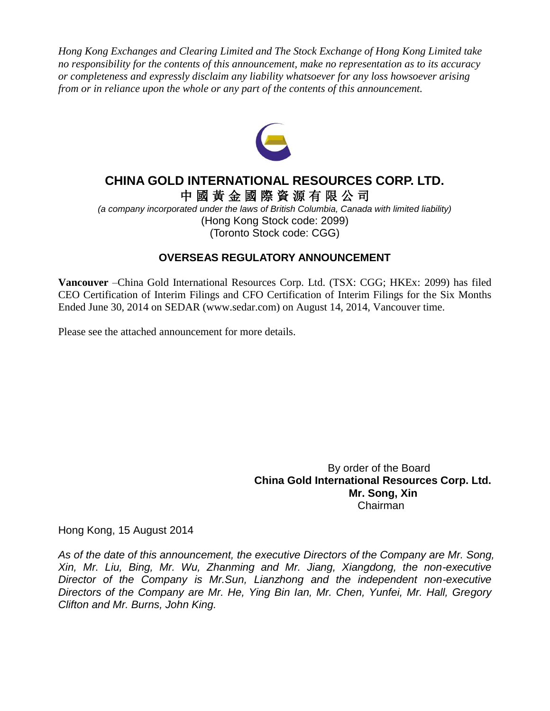*Hong Kong Exchanges and Clearing Limited and The Stock Exchange of Hong Kong Limited take no responsibility for the contents of this announcement, make no representation as to its accuracy or completeness and expressly disclaim any liability whatsoever for any loss howsoever arising from or in reliance upon the whole or any part of the contents of this announcement.*



## **CHINA GOLD INTERNATIONAL RESOURCES CORP. LTD.** 中 國 黃 金 國 際 資 源 有 限 公 司

*(a company incorporated under the laws of British Columbia, Canada with limited liability)* (Hong Kong Stock code: 2099) (Toronto Stock code: CGG)

## **OVERSEAS REGULATORY ANNOUNCEMENT**

**Vancouver** –China Gold International Resources Corp. Ltd. (TSX: CGG; HKEx: 2099) has filed CEO Certification of Interim Filings and CFO Certification of Interim Filings for the Six Months Ended June 30, 2014 on SEDAR (www.sedar.com) on August 14, 2014, Vancouver time.

Please see the attached announcement for more details.

 By order of the Board **China Gold International Resources Corp. Ltd. Mr. Song, Xin** Chairman

Hong Kong, 15 August 2014

*As of the date of this announcement, the executive Directors of the Company are Mr. Song, Xin, Mr. Liu, Bing, Mr. Wu, Zhanming and Mr. Jiang, Xiangdong, the non-executive Director of the Company is Mr.Sun, Lianzhong and the independent non-executive Directors of the Company are Mr. He, Ying Bin Ian, Mr. Chen, Yunfei, Mr. Hall, Gregory Clifton and Mr. Burns, John King.*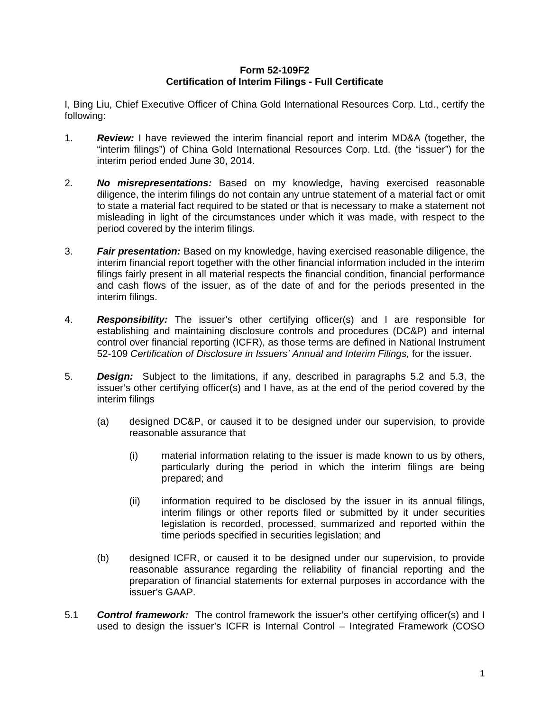## **Form 52-109F2 Certification of Interim Filings - Full Certificate**

I, Bing Liu, Chief Executive Officer of China Gold International Resources Corp. Ltd., certify the following:

- 1. *Review:* I have reviewed the interim financial report and interim MD&A (together, the "interim filings") of China Gold International Resources Corp. Ltd. (the "issuer") for the interim period ended June 30, 2014.
- 2. *No misrepresentations:* Based on my knowledge, having exercised reasonable diligence, the interim filings do not contain any untrue statement of a material fact or omit to state a material fact required to be stated or that is necessary to make a statement not misleading in light of the circumstances under which it was made, with respect to the period covered by the interim filings.
- 3. *Fair presentation:* Based on my knowledge, having exercised reasonable diligence, the interim financial report together with the other financial information included in the interim filings fairly present in all material respects the financial condition, financial performance and cash flows of the issuer, as of the date of and for the periods presented in the interim filings.
- 4. *Responsibility:* The issuer's other certifying officer(s) and I are responsible for establishing and maintaining disclosure controls and procedures (DC&P) and internal control over financial reporting (ICFR), as those terms are defined in National Instrument 52-109 *Certification of Disclosure in Issuers' Annual and Interim Filings,* for the issuer.
- 5. *Design:* Subject to the limitations, if any, described in paragraphs 5.2 and 5.3, the issuer's other certifying officer(s) and I have, as at the end of the period covered by the interim filings
	- (a) designed DC&P, or caused it to be designed under our supervision, to provide reasonable assurance that
		- (i) material information relating to the issuer is made known to us by others, particularly during the period in which the interim filings are being prepared; and
		- (ii) information required to be disclosed by the issuer in its annual filings, interim filings or other reports filed or submitted by it under securities legislation is recorded, processed, summarized and reported within the time periods specified in securities legislation; and
	- (b) designed ICFR, or caused it to be designed under our supervision, to provide reasonable assurance regarding the reliability of financial reporting and the preparation of financial statements for external purposes in accordance with the issuer's GAAP.
- 5.1 *Control framework:* The control framework the issuer's other certifying officer(s) and I used to design the issuer's ICFR is Internal Control – Integrated Framework (COSO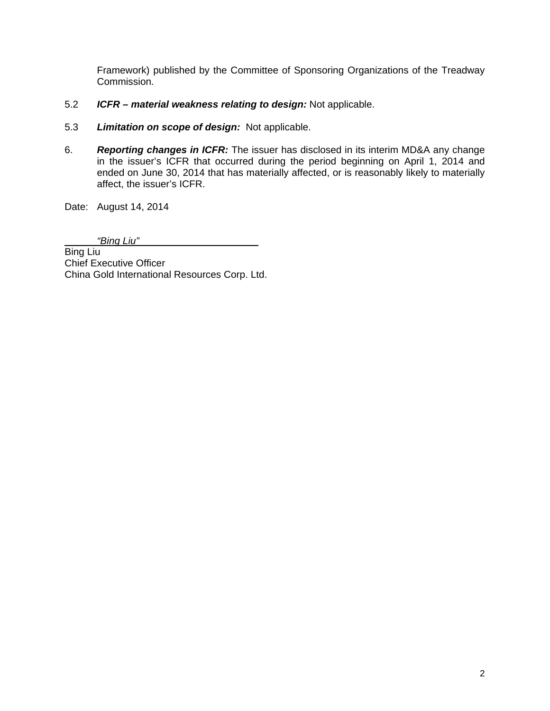Framework) published by the Committee of Sponsoring Organizations of the Treadway Commission.

- 5.2 *ICFR material weakness relating to design:* Not applicable.
- 5.3 *Limitation on scope of design:* Not applicable.
- 6. *Reporting changes in ICFR:* The issuer has disclosed in its interim MD&A any change in the issuer's ICFR that occurred during the period beginning on April 1, 2014 and ended on June 30, 2014 that has materially affected, or is reasonably likely to materially affect, the issuer's ICFR.

Date: August 14, 2014

*"Bing Liu"*

Bing Liu Chief Executive Officer China Gold International Resources Corp. Ltd.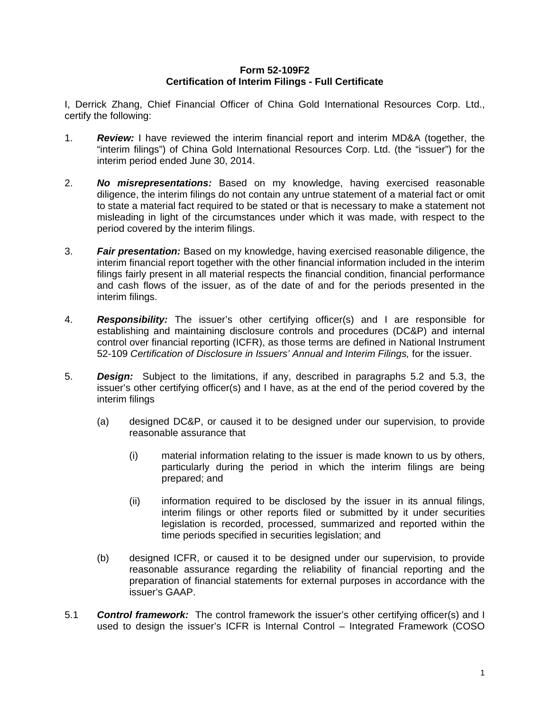## **Form 52-109F2 Certification of Interim Filings - Full Certificate**

I, Derrick Zhang, Chief Financial Officer of China Gold International Resources Corp. Ltd., certify the following:

- 1. *Review:* I have reviewed the interim financial report and interim MD&A (together, the "interim filings") of China Gold International Resources Corp. Ltd. (the "issuer") for the interim period ended June 30, 2014.
- 2. *No misrepresentations:* Based on my knowledge, having exercised reasonable diligence, the interim filings do not contain any untrue statement of a material fact or omit to state a material fact required to be stated or that is necessary to make a statement not misleading in light of the circumstances under which it was made, with respect to the period covered by the interim filings.
- 3. *Fair presentation:* Based on my knowledge, having exercised reasonable diligence, the interim financial report together with the other financial information included in the interim filings fairly present in all material respects the financial condition, financial performance and cash flows of the issuer, as of the date of and for the periods presented in the interim filings.
- 4. *Responsibility:* The issuer's other certifying officer(s) and I are responsible for establishing and maintaining disclosure controls and procedures (DC&P) and internal control over financial reporting (ICFR), as those terms are defined in National Instrument 52-109 *Certification of Disclosure in Issuers' Annual and Interim Filings,* for the issuer.
- 5. *Design:* Subject to the limitations, if any, described in paragraphs 5.2 and 5.3, the issuer's other certifying officer(s) and I have, as at the end of the period covered by the interim filings
	- (a) designed DC&P, or caused it to be designed under our supervision, to provide reasonable assurance that
		- (i) material information relating to the issuer is made known to us by others, particularly during the period in which the interim filings are being prepared; and
		- (ii) information required to be disclosed by the issuer in its annual filings, interim filings or other reports filed or submitted by it under securities legislation is recorded, processed, summarized and reported within the time periods specified in securities legislation; and
	- (b) designed ICFR, or caused it to be designed under our supervision, to provide reasonable assurance regarding the reliability of financial reporting and the preparation of financial statements for external purposes in accordance with the issuer's GAAP.
- 5.1 *Control framework:* The control framework the issuer's other certifying officer(s) and I used to design the issuer's ICFR is Internal Control – Integrated Framework (COSO